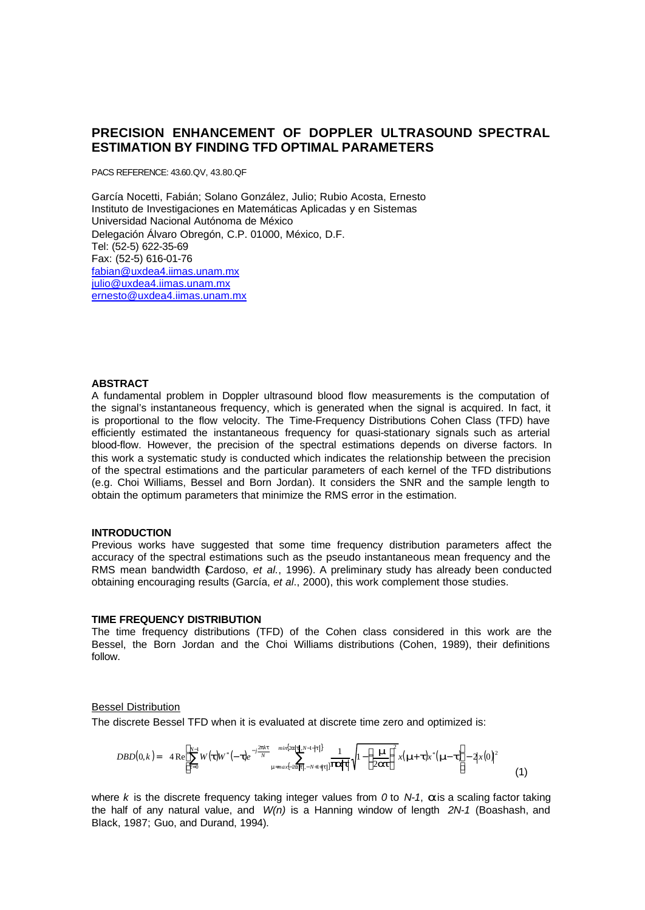# **PRECISION ENHANCEMENT OF DOPPLER ULTRASOUND SPECTRAL ESTIMATION BY FINDING TFD OPTIMAL PARAMETERS**

PACS REFERENCE: 43.60.QV, 43.80.QF

García Nocetti, Fabián; Solano González, Julio; Rubio Acosta, Ernesto Instituto de Investigaciones en Matemáticas Aplicadas y en Sistemas Universidad Nacional Autónoma de México Delegación Álvaro Obregón, C.P. 01000, México, D.F. Tel: (52-5) 622-35-69 Fax: (52-5) 616-01-76 fabian@uxdea4.iimas.unam.mx julio@uxdea4.iimas.unam.mx ernesto@uxdea4.iimas.unam.mx

# **ABSTRACT**

A fundamental problem in Doppler ultrasound blood flow measurements is the computation of the signal's instantaneous frequency, which is generated when the signal is acquired. In fact, it is proportional to the flow velocity. The Time-Frequency Distributions Cohen Class (TFD) have efficiently estimated the instantaneous frequency for quasi-stationary signals such as arterial blood-flow. However, the precision of the spectral estimations depends on diverse factors. In this work a systematic study is conducted which indicates the relationship between the precision of the spectral estimations and the particular parameters of each kernel of the TFD distributions (e.g. Choi Williams, Bessel and Born Jordan). It considers the SNR and the sample length to obtain the optimum parameters that minimize the RMS error in the estimation.

#### **INTRODUCTION**

Previous works have suggested that some time frequency distribution parameters affect the accuracy of the spectral estimations such as the pseudo instantaneous mean frequency and the RMS mean bandwidth (Cardoso, *et al.*, 1996). A preliminary study has already been conducted obtaining encouraging results (García, *et al*., 2000), this work complement those studies.

#### **TIME FREQUENCY DISTRIBUTION**

The time frequency distributions (TFD) of the Cohen class considered in this work are the Bessel, the Born Jordan and the Choi Williams distributions (Cohen, 1989), their definitions follow.

### Bessel Distribution

The discrete Bessel TFD when it is evaluated at discrete time zero and optimized is:

$$
DBD(0,k) = 4 \operatorname{Re} \left[ \sum_{t=0}^{N-1} W(t) W^*(-t) e^{-j\frac{2\mathbf{p}kt}{N} \min\{2a[t], N-1+t\}} \sum_{\mathbf{m} = \max\{-2a[t], -N+i+t\}}^{\min\{2a[t], N-1+t\}} \frac{1}{|\mathbf{p}\mathbf{p}|t|} \sqrt{1-\left(\frac{\mathbf{m}}{2\mathbf{a}t}\right)^2} x(\mathbf{m} \cdot \mathbf{t}) x^*(\mathbf{m} \cdot \mathbf{t}) \right] - 2|x(0)|^2
$$
 (1)

where *k* is the discrete frequency taking integer values from *0* to *N-1*, *a* is a scaling factor taking the half of any natural value, and *W(n)* is a Hanning window of length *2N-1* (Boashash, and Black, 1987; Guo, and Durand, 1994).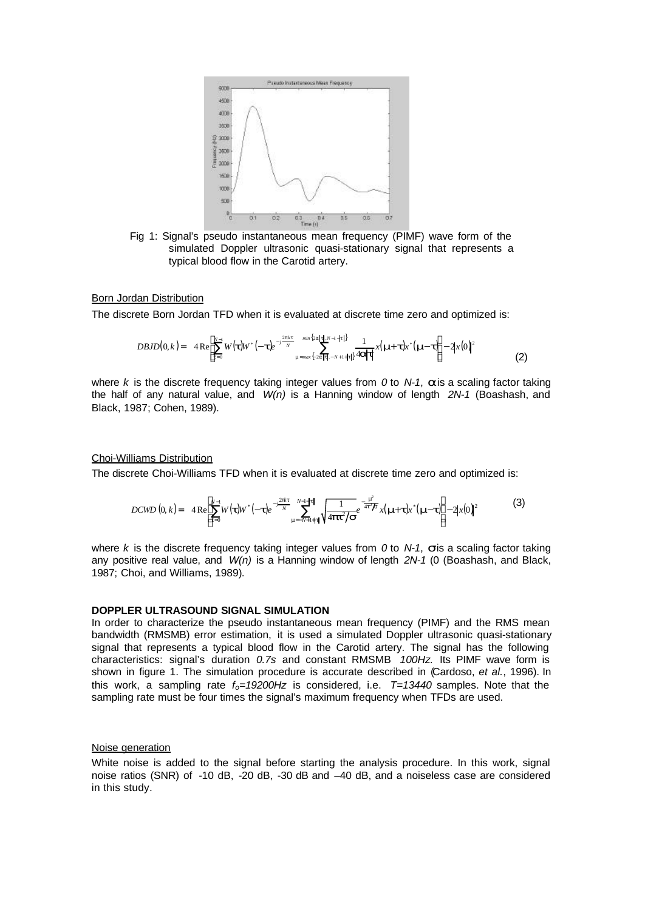

Fig 1: Signal's pseudo instantaneous mean frequency (PIMF) wave form of the simulated Doppler ultrasonic quasi-stationary signal that represents a typical blood flow in the Carotid artery.

#### Born Jordan Distribution

The discrete Born Jordan TFD when it is evaluated at discrete time zero and optimized is:

$$
DBJD(0,k) = 4 \text{Re} \left[ \sum_{t=0}^{N-1} W(t) W^*(-t) e^{-j\frac{2\mathbf{p}kt}{N}} \sum_{m=\max\{-2\mathbf{a}[t], -N+1+|t|\}}^{m\ln\{2\mathbf{a}[t], N-1+|t|\}} \frac{1}{4\mathbf{a}[t]} x(\mathbf{m}+t) x^*(\mathbf{m}-t) \right] - 2|x(0)|^2
$$
(2)

where *k* is the discrete frequency taking integer values from *0* to *N-1*, *a* is a scaling factor taking the half of any natural value, and *W(n)* is a Hanning window of length *2N-1* (Boashash, and Black, 1987; Cohen, 1989).

### Choi-Williams Distribution

The discrete Choi-Williams TFD when it is evaluated at discrete time zero and optimized is:

$$
DCWD(0,k)=4\operatorname{Re}\left[\sum_{t=0}^{N-1}W(t)W^{*}(-t)e^{-j\frac{2\mu t}{N}}\sum_{m=-N+1+\lfloor t\rfloor}^{N-1-\lfloor t\rfloor}\sqrt{\frac{1}{4\mu t^{2}/s}}e^{-\frac{m^{2}}{4t^{2}/s}}x(m+t)x^{*}(m-t)\right]-2|x(0)|^{2}
$$
(3)

where  $k$  is the discrete frequency taking integer values from  $0$  to  $N-1$ , sis a scaling factor taking any positive real value, and *W(n)* is a Hanning window of length *2N-1* (0 (Boashash, and Black, 1987; Choi, and Williams, 1989).

# **DOPPLER ULTRASOUND SIGNAL SIMULATION**

In order to characterize the pseudo instantaneous mean frequency (PIMF) and the RMS mean bandwidth (RMSMB) error estimation, it is used a simulated Doppler ultrasonic quasi-stationary signal that represents a typical blood flow in the Carotid artery. The signal has the following characteristics: signal's duration *0.7s* and constant RMSMB *100Hz.* Its PIMF wave form is shown in figure 1. The simulation procedure is accurate described in (Cardoso, *et al.*, 1996). In this work, a sampling rate *fo=19200Hz* is considered, i.e. *T=13440* samples. Note that the sampling rate must be four times the signal's maximum frequency when TFDs are used.

#### Noise generation

White noise is added to the signal before starting the analysis procedure. In this work, signal noise ratios (SNR) of -10 dB, -20 dB, -30 dB and –40 dB, and a noiseless case are considered in this study.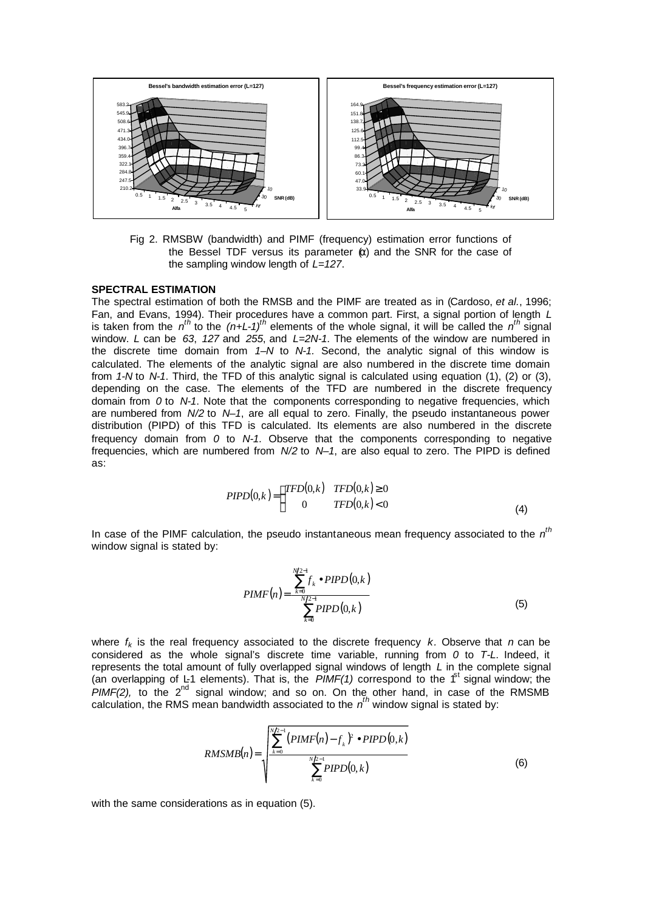

Fig 2. RMSBW (bandwidth) and PIMF (frequency) estimation error functions of the Bessel TDF versus its parameter  $(x)$  and the SNR for the case of the sampling window length of *L=127*.

# **SPECTRAL ESTIMATION**

The spectral estimation of both the RMSB and the PIMF are treated as in (Cardoso, *et al.*, 1996; Fan, and Evans, 1994). Their procedures have a common part. First, a signal portion of length *L* is taken from the  $n^{th}$  to the  $(n+L-1)^{th}$  elements of the whole signal, it will be called the  $n^{th}$  signal window. *L* can be *63*, *127* and *255*, and *L=2N-1*. The elements of the window are numbered in the discrete time domain from *1–N* to *N-1.* Second, the analytic signal of this window is calculated. The elements of the analytic signal are also numbered in the discrete time domain from *1-N* to *N-1*. Third, the TFD of this analytic signal is calculated using equation (1), (2) or (3), depending on the case. The elements of the TFD are numbered in the discrete frequency domain from *0* to *N-1*. Note that the components corresponding to negative frequencies, which are numbered from *N/2* to *N–1*, are all equal to zero. Finally, the pseudo instantaneous power distribution (PIPD) of this TFD is calculated. Its elements are also numbered in the discrete frequency domain from *0* to *N-1*. Observe that the components corresponding to negative frequencies, which are numbered from *N/2* to *N–1*, are also equal to zero. The PIPD is defined as:

$$
PID(0,k) = \begin{cases} TFD(0,k) & TFD(0,k) \ge 0\\ 0 & TFD(0,k) < 0 \end{cases}
$$
\n(4)

In case of the PIMF calculation, the pseudo instantaneous mean frequency associated to the *n th* window signal is stated by:

$$
PIMF(n) = \frac{\sum_{k=0}^{N/2-1} f_k \bullet PIPD(0,k)}{\sum_{k=0}^{N/2-1} PIPD(0,k)}
$$
(5)

where  $f_k$  is the real frequency associated to the discrete frequency  $k$ . Observe that  $n$  can be considered as the whole signal's discrete time variable, running from *0* to *T-L*. Indeed, it represents the total amount of fully overlapped signal windows of length *L* in the complete signal (an overlapping of L-1 elements). That is, the  $PIMF(1)$  correspond to the  $1<sup>st</sup>$  signal window; the  $PHMF(2)$ , to the  $2<sup>nd</sup>$  signal window; and so on. On the other hand, in case of the RMSMB calculation, the RMS mean bandwidth associated to the *n th* window signal is stated by:

$$
RMSMB(n) = \sqrt{\frac{\sum_{k=0}^{N/2-1} (PIMF(n) - f_k)^2 \cdot PIPD(0,k)}{\sum_{k=0}^{N/2-1} PIPD(0,k)}}
$$
(6)

with the same considerations as in equation (5).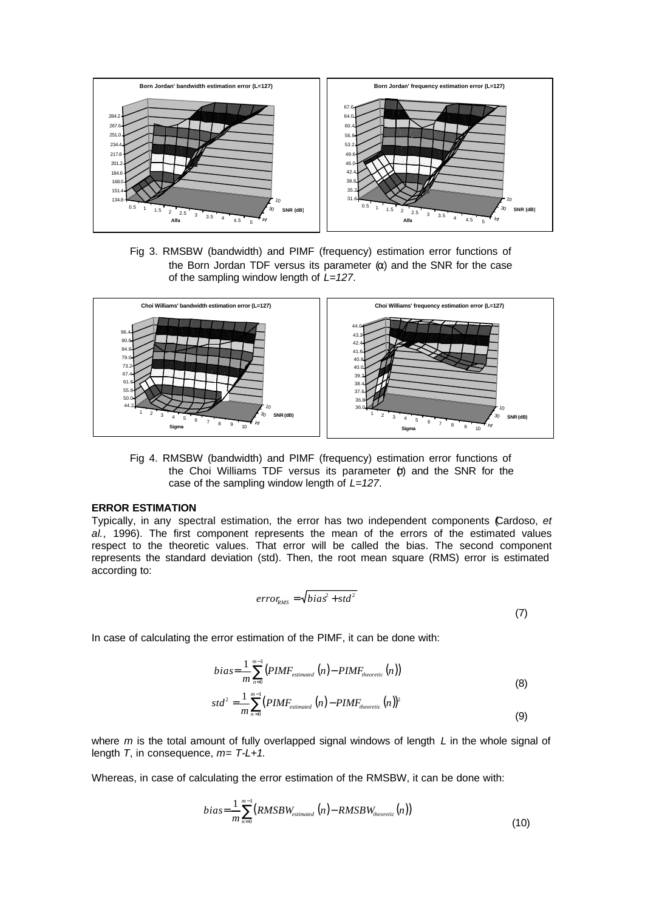

Fig 3. RMSBW (bandwidth) and PIMF (frequency) estimation error functions of the Born Jordan TDF versus its parameter  $(α)$  and the SNR for the case of the sampling window length of *L=127*.



Fig 4. RMSBW (bandwidth) and PIMF (frequency) estimation error functions of the Choi Williams TDF versus its parameter  $(σ)$  and the SNR for the case of the sampling window length of *L=127*.

### **ERROR ESTIMATION**

Typically, in any spectral estimation, the error has two independent components (Cardoso, *et al.*, 1996). The first component represents the mean of the errors of the estimated values respect to the theoretic values. That error will be called the bias. The second component represents the standard deviation (std). Then, the root mean square (RMS) error is estimated according to:

$$
error_{RMS} = \sqrt{bias^2 + std^2}
$$
 (7)

In case of calculating the error estimation of the PIMF, it can be done with:

$$
bias = \frac{1}{m} \sum_{n=0}^{m-1} \left( PIMF_{estimated} \left( n \right) - PIMF_{theoretic} \left( n \right) \right)
$$
  
1 <sup>m-1</sup> (8)

$$
std^2 = \frac{1}{m} \sum_{n=0}^{m-1} (PIMF_{estimated}(n) - PIMF_{theoreic}(n))^2
$$
\n(9)

where *m* is the total amount of fully overlapped signal windows of length *L* in the whole signal of length *T*, in consequence, *m= T-L+1.*

Whereas, in case of calculating the error estimation of the RMSBW, it can be done with:

$$
bias = \frac{1}{m} \sum_{n=0}^{m-1} (RMSBW_{estimated} (n) - RMSBW_{theoretic} (n))
$$
\n(10)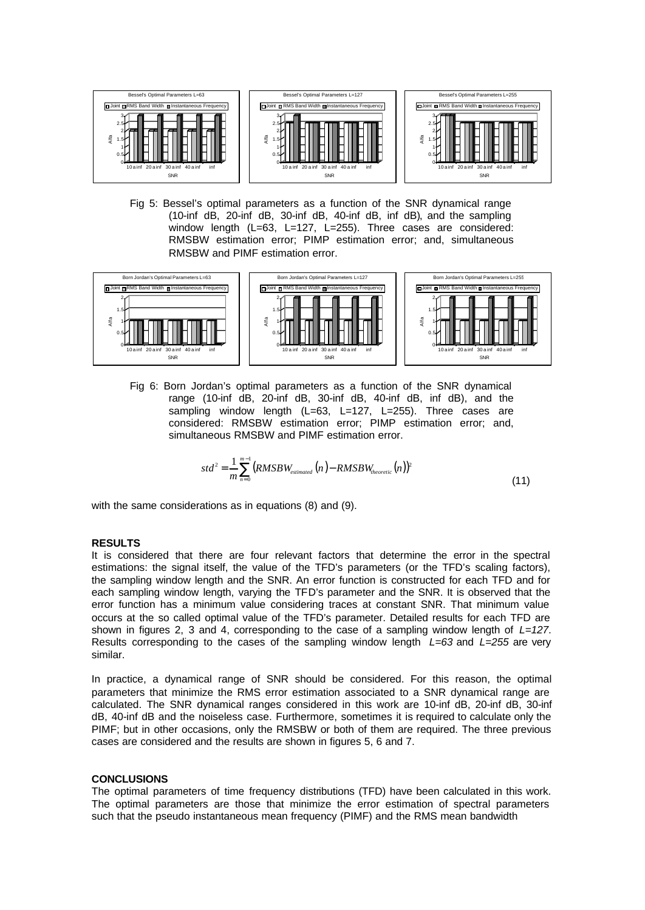

Fig 5: Bessel's optimal parameters as a function of the SNR dynamical range (10-inf dB, 20-inf dB, 30-inf dB, 40-inf dB, inf dB), and the sampling window length (L=63, L=127, L=255). Three cases are considered: RMSBW estimation error; PIMP estimation error; and, simultaneous RMSBW and PIMF estimation error.



Fig 6: Born Jordan's optimal parameters as a function of the SNR dynamical range (10-inf dB, 20-inf dB, 30-inf dB, 40-inf dB, inf dB), and the sampling window length (L=63, L=127, L=255). Three cases are considered: RMSBW estimation error; PIMP estimation error; and, simultaneous RMSBW and PIMF estimation error.

$$
std^2 = \frac{1}{m} \sum_{n=0}^{m-1} (RMSBW_{estimated}(n) - RMSBW_{theoretic}(n))^2
$$
\n(11)

with the same considerations as in equations (8) and (9).

### **RESULTS**

It is considered that there are four relevant factors that determine the error in the spectral estimations: the signal itself, the value of the TFD's parameters (or the TFD's scaling factors), the sampling window length and the SNR. An error function is constructed for each TFD and for each sampling window length, varying the TFD's parameter and the SNR. It is observed that the error function has a minimum value considering traces at constant SNR. That minimum value occurs at the so called optimal value of the TFD's parameter. Detailed results for each TFD are shown in figures 2, 3 and 4, corresponding to the case of a sampling window length of *L=127*. Results corresponding to the cases of the sampling window length *L=63* and *L=255* are very similar.

In practice, a dynamical range of SNR should be considered. For this reason, the optimal parameters that minimize the RMS error estimation associated to a SNR dynamical range are calculated. The SNR dynamical ranges considered in this work are 10-inf dB, 20-inf dB, 30-inf dB, 40-inf dB and the noiseless case. Furthermore, sometimes it is required to calculate only the PIMF; but in other occasions, only the RMSBW or both of them are required. The three previous cases are considered and the results are shown in figures 5, 6 and 7.

#### **CONCLUSIONS**

The optimal parameters of time frequency distributions (TFD) have been calculated in this work. The optimal parameters are those that minimize the error estimation of spectral parameters such that the pseudo instantaneous mean frequency (PIMF) and the RMS mean bandwidth